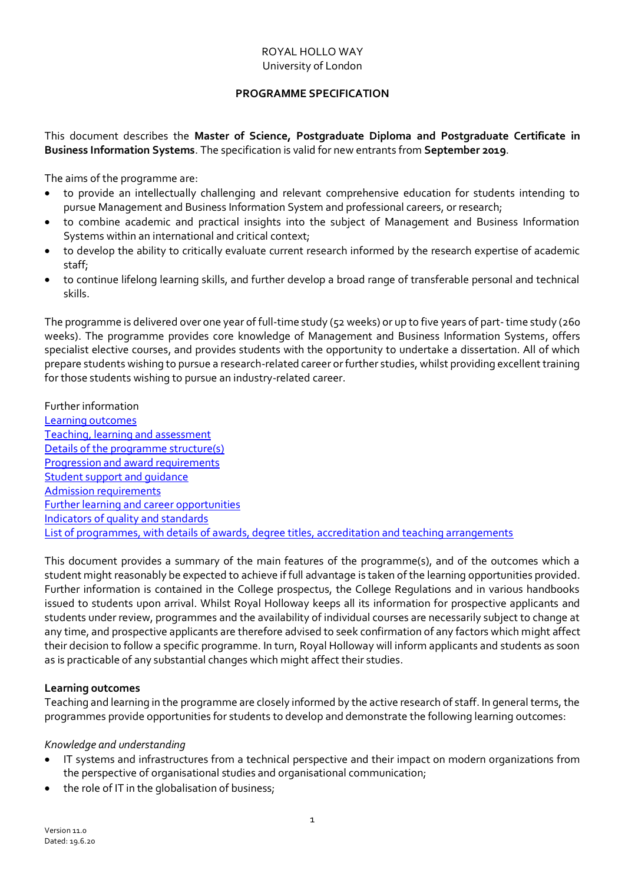# ROYAL HOLLO WAY University of London

# **PROGRAMME SPECIFICATION**

<span id="page-0-1"></span>This document describes the **Master of Science, Postgraduate Diploma and Postgraduate Certificate in Business Information Systems**. The specification is valid for new entrants from **September 2019**.

The aims of the programme are:

- to provide an intellectually challenging and relevant comprehensive education for students intending to pursue Management and Business Information System and professional careers, or research;
- to combine academic and practical insights into the subject of Management and Business Information Systems within an international and critical context;
- to develop the ability to critically evaluate current research informed by the research expertise of academic staff;
- to continue lifelong learning skills, and further develop a broad range of transferable personal and technical skills.

The programme is delivered over one year of full-time study (52 weeks) or up to five years of part-time study (260 weeks). The programme provides core knowledge of Management and Business Information Systems, offers specialist elective courses, and provides students with the opportunity to undertake a dissertation. All of which prepare students wishing to pursue a research-related career or further studies, whilst providing excellent training for those students wishing to pursue an industry-related career.

# Further information

[Learning outcomes](#page-0-0) [Teaching, learning and assessment](#page-1-0) [Details of the programme structure\(s\)](#page-2-0) [Progression and award requirements](#page-3-0) Student support and quidance [Admission requirements](#page-4-1) [Further learning and career opportunities](#page-4-2) [Indicators of quality and standards](#page-4-3) [List of programmes, with details of awards, degree titles, accreditation and teaching arrangements](#page-5-0)

This document provides a summary of the main features of the programme(s), and of the outcomes which a student might reasonably be expected to achieve if full advantage is taken of the learning opportunities provided. Further information is contained in the College prospectus, the College Regulations and in various handbooks issued to students upon arrival. Whilst Royal Holloway keeps all its information for prospective applicants and students under review, programmes and the availability of individual courses are necessarily subject to change at any time, and prospective applicants are therefore advised to seek confirmation of any factors which might affect their decision to follow a specific programme. In turn, Royal Holloway will inform applicants and students as soon as is practicable of any substantial changes which might affect their studies.

# <span id="page-0-0"></span>**Learning outcomes**

Teaching and learning in the programme are closely informed by the active research of staff. In general terms, the programmes provide opportunities for students to develop and demonstrate the following learning outcomes:

# *Knowledge and understanding*

- IT systems and infrastructures from a technical perspective and their impact on modern organizations from the perspective of organisational studies and organisational communication;
- the role of IT in the globalisation of business;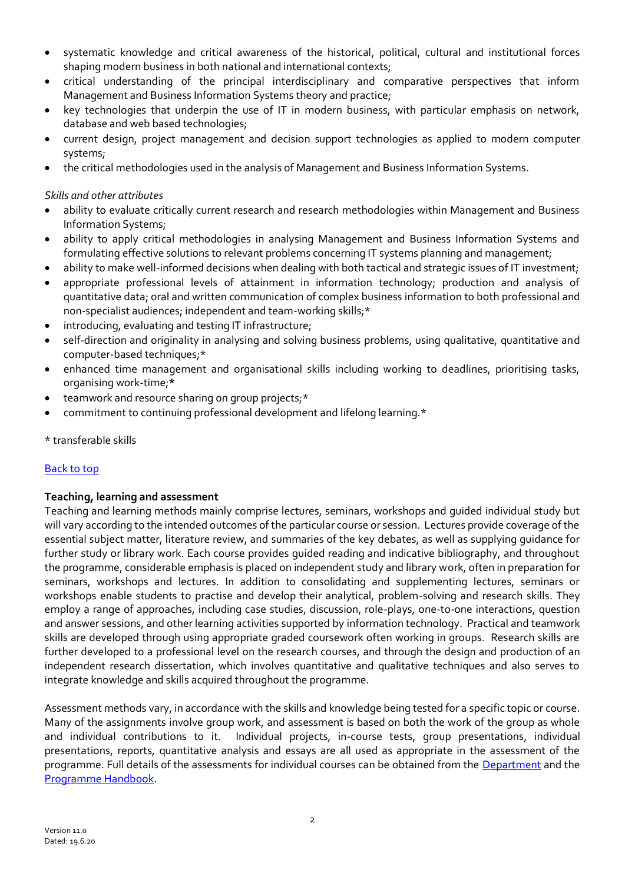- systematic knowledge and critical awareness of the historical, political, cultural and institutional forces shaping modern business in both national and international contexts;
- critical understanding of the principal interdisciplinary and comparative perspectives that inform Management and Business Information Systems theory and practice;
- key technologies that underpin the use of IT in modern business, with particular emphasis on network, database and web based technologies;
- current design, project management and decision support technologies as applied to modern computer systems;
- the critical methodologies used in the analysis of Management and Business Information Systems.

# *Skills and other attributes*

- ability to evaluate critically current research and research methodologies within Management and Business Information Systems;
- ability to apply critical methodologies in analysing Management and Business Information Systems and formulating effective solutions to relevant problems concerning IT systems planning and management;
- ability to make well-informed decisions when dealing with both tactical and strategic issues of IT investment;
- appropriate professional levels of attainment in information technology; production and analysis of quantitative data; oral and written communication of complex business information to both professional and non-specialist audiences; independent and team-working skills;\*
- introducing, evaluating and testing IT infrastructure;
- self-direction and originality in analysing and solving business problems, using qualitative, quantitative and computer-based techniques;\*
- enhanced time management and organisational skills including working to deadlines, prioritising tasks, organising work-time;**\***
- teamwork and resource sharing on group projects;\*
- commitment to continuing professional development and lifelong learning.\*
- \* transferable skills

# [Back to top](#page-0-1)

# <span id="page-1-0"></span>**Teaching, learning and assessment**

Teaching and learning methods mainly comprise lectures, seminars, workshops and guided individual study but will vary according to the intended outcomes of the particular course or session. Lectures provide coverage of the essential subject matter, literature review, and summaries of the key debates, as well as supplying guidance for further study or library work. Each course provides guided reading and indicative bibliography, and throughout the programme, considerable emphasis is placed on independent study and library work, often in preparation for seminars, workshops and lectures. In addition to consolidating and supplementing lectures, seminars or workshops enable students to practise and develop their analytical, problem-solving and research skills. They employ a range of approaches, including case studies, discussion, role-plays, one-to-one interactions, question and answer sessions, and other learning activities supported by information technology. Practical and teamwork skills are developed through using appropriate graded coursework often working in groups. Research skills are further developed to a professional level on the research courses, and through the design and production of an independent research dissertation, which involves quantitative and qualitative techniques and also serves to integrate knowledge and skills acquired throughout the programme.

Assessment methods vary, in accordance with the skills and knowledge being tested for a specific topic or course. Many of the assignments involve group work, and assessment is based on both the work of the group as whole and individual contributions to it. Individual projects, in-course tests, group presentations, individual presentations, reports, quantitative analysis and essays are all used as appropriate in the assessment of the programme. Full details of the assessments for individual courses can be obtained from the [Department](http://www.rhul.ac.uk/management) and the [Programme Handbook.](http://www.rhul.ac.uk/Management/PGmotd.html)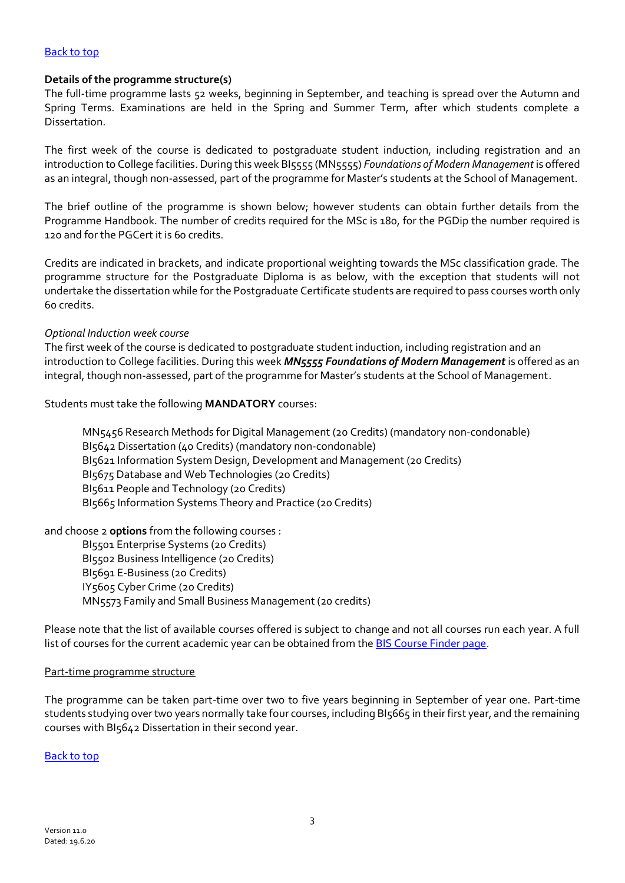#### [Back to top](#page-0-1)

### <span id="page-2-0"></span>**Details of the programme structure(s)**

The full-time programme lasts 52 weeks, beginning in September, and teaching is spread over the Autumn and Spring Terms. Examinations are held in the Spring and Summer Term, after which students complete a Dissertation.

The first week of the course is dedicated to postgraduate student induction, including registration and an introduction to College facilities. During this week BI5555 (MN5555) *Foundations of Modern Management* is offered as an integral, though non-assessed, part of the programme for Master's students at the School of Management.

The brief outline of the programme is shown below; however students can obtain further details from the Programme Handbook. The number of credits required for the MSc is 180, for the PGDip the number required is 120 and for the PGCert it is 60 credits.

Credits are indicated in brackets, and indicate proportional weighting towards the MSc classification grade. The programme structure for the Postgraduate Diploma is as below, with the exception that students will not undertake the dissertation while for the Postgraduate Certificate students are required to pass courses worth only 60 credits.

### *Optional Induction week course*

The first week of the course is dedicated to postgraduate student induction, including registration and an introduction to College facilities. During this week *MN5555 Foundations of Modern Management* is offered as an integral, though non-assessed, part of the programme for Master's students at the School of Management.

Students must take the following **MANDATORY** courses:

MN5456 Research Methods for Digital Management (20 Credits) (mandatory non-condonable) BI5642 Dissertation (40 Credits) (mandatory non-condonable) BI5621 Information System Design, Development and Management (20 Credits) BI5675 Database and Web Technologies (20 Credits) BI5611 People and Technology (20 Credits) BI5665 Information Systems Theory and Practice (20 Credits)

and choose 2 **options** from the following courses :

BI5501 Enterprise Systems (20 Credits) BI5502 Business Intelligence (20 Credits) BI5691 E-Business (20 Credits) IY5605 Cyber Crime (20 Credits) MN5573 Family and Small Business Management (20 credits)

Please note that the list of available courses offered is subject to change and not all courses run each year. A full list of courses for the current academic year can be obtained from the **[BIS Course Finder](https://www.royalholloway.ac.uk/courses/2017/postgraduate/management/business-information-systems.aspx) page**.

#### Part-time programme structure

The programme can be taken part-time over two to five years beginning in September of year one. Part-time students studying over two years normally take four courses, including BI5665 in their first year, and the remaining courses with BI5642 Dissertation in their second year.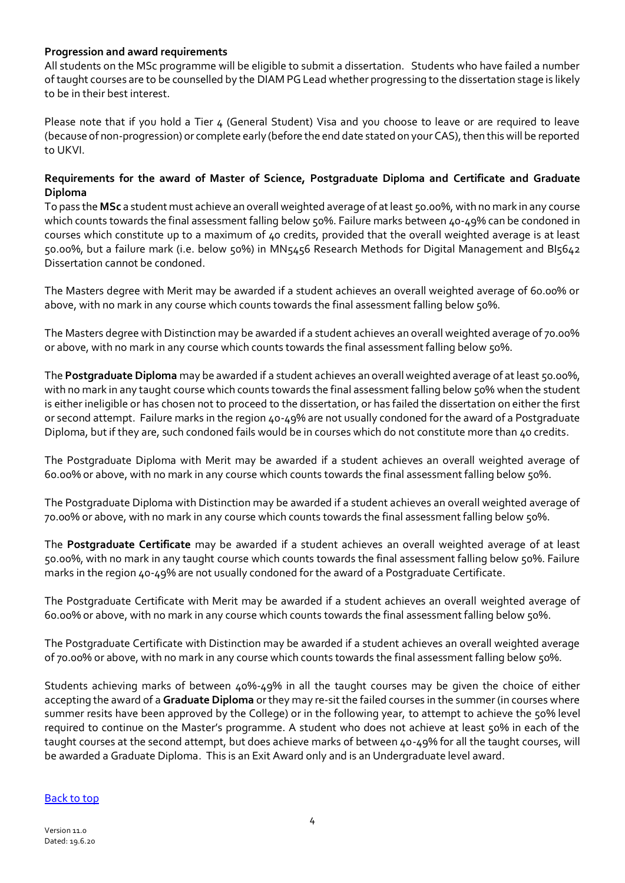# <span id="page-3-0"></span>**Progression and award requirements**

All students on the MSc programme will be eligible to submit a dissertation. Students who have failed a number of taught courses are to be counselled by the DIAM PG Lead whether progressing to the dissertation stage is likely to be in their best interest.

Please note that if you hold a Tier 4 (General Student) Visa and you choose to leave or are required to leave (because of non-progression) or complete early (before the end date stated on your CAS), then this will be reported to UKVI.

# **Requirements for the award of Master of Science, Postgraduate Diploma and Certificate and Graduate Diploma**

To pass the **MSc** a student must achieve an overall weighted average of at least 50.00%, with no mark in any course which counts towards the final assessment falling below 50%. Failure marks between 40-49% can be condoned in courses which constitute up to a maximum of 40 credits, provided that the overall weighted average is at least 50.00%, but a failure mark (i.e. below 50%) in MN5456 Research Methods for Digital Management and BI5642 Dissertation cannot be condoned.

The Masters degree with Merit may be awarded if a student achieves an overall weighted average of 60.00% or above, with no mark in any course which counts towards the final assessment falling below 50%.

The Masters degree with Distinction may be awarded if a student achieves an overall weighted average of 70.00% or above, with no mark in any course which counts towards the final assessment falling below 50%.

The **Postgraduate Diploma** may be awarded if a student achieves an overall weighted average of at least 50.00%, with no mark in any taught course which counts towards the final assessment falling below 50% when the student is either ineligible or has chosen not to proceed to the dissertation, or has failed the dissertation on either the first or second attempt. Failure marks in the region 40-49% are not usually condoned for the award of a Postgraduate Diploma, but if they are, such condoned fails would be in courses which do not constitute more than 40 credits.

The Postgraduate Diploma with Merit may be awarded if a student achieves an overall weighted average of 60.00% or above, with no mark in any course which counts towards the final assessment falling below 50%.

The Postgraduate Diploma with Distinction may be awarded if a student achieves an overall weighted average of 70.00% or above, with no mark in any course which counts towards the final assessment falling below 50%.

The **Postgraduate Certificate** may be awarded if a student achieves an overall weighted average of at least 50.00%, with no mark in any taught course which counts towards the final assessment falling below 50%. Failure marks in the region 40-49% are not usually condoned for the award of a Postgraduate Certificate.

The Postgraduate Certificate with Merit may be awarded if a student achieves an overall weighted average of 60.00% or above, with no mark in any course which counts towards the final assessment falling below 50%.

The Postgraduate Certificate with Distinction may be awarded if a student achieves an overall weighted average of 70.00% or above, with no mark in any course which counts towards the final assessment falling below 50%.

Students achieving marks of between 40%-49% in all the taught courses may be given the choice of either accepting the award of a **Graduate Diploma** or they may re-sit the failed courses in the summer (in courses where summer resits have been approved by the College) or in the following year, to attempt to achieve the 50% level required to continue on the Master's programme. A student who does not achieve at least 50% in each of the taught courses at the second attempt, but does achieve marks of between 40-49% for all the taught courses, will be awarded a Graduate Diploma. This is an Exit Award only and is an Undergraduate level award.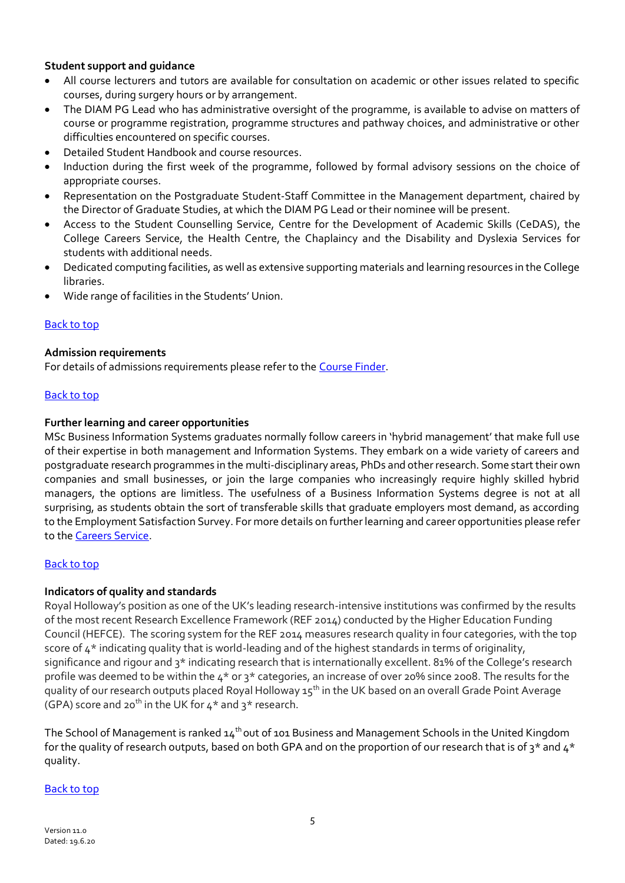# <span id="page-4-0"></span>**Student support and guidance**

- All course lecturers and tutors are available for consultation on academic or other issues related to specific courses, during surgery hours or by arrangement.
- The DIAM PG Lead who has administrative oversight of the programme, is available to advise on matters of course or programme registration, programme structures and pathway choices, and administrative or other difficulties encountered on specific courses.
- Detailed Student Handbook and course resources.
- Induction during the first week of the programme, followed by formal advisory sessions on the choice of appropriate courses.
- Representation on the Postgraduate Student-Staff Committee in the Management department, chaired by the Director of Graduate Studies, at which the DIAM PG Lead or their nominee will be present.
- Access to the Student Counselling Service, Centre for the Development of Academic Skills (CeDAS), the College Careers Service*,* the Health Centre, the Chaplaincy and the Disability and Dyslexia Services for students with additional needs.
- Dedicated computing facilities, as well as extensive supporting materials and learning resources in the College libraries.
- Wide range of facilities in the Students' Union.

# [Back to top](#page-0-1)

# <span id="page-4-1"></span>**Admission requirements**

For details of admissions requirements please refer to the [Course Finder.](https://www.royalholloway.ac.uk/courses/2017/postgraduate/management/business-information-systems.aspx)

# [Back to top](#page-0-1)

# <span id="page-4-2"></span>**Further learning and career opportunities**

MSc Business Information Systems graduates normally follow careers in 'hybrid management' that make full use of their expertise in both management and Information Systems. They embark on a wide variety of careers and postgraduate research programmes in the multi-disciplinary areas, PhDs and other research. Some start their own companies and small businesses, or join the large companies who increasingly require highly skilled hybrid managers, the options are limitless. The usefulness of a Business Information Systems degree is not at all surprising, as students obtain the sort of transferable skills that graduate employers most demand, as according to the Employment Satisfaction Survey. For more details on further learning and career opportunities please refer to the [Careers Service.](http://www.rhul.ac.uk/careers/)

# [Back to top](#page-0-1)

# <span id="page-4-3"></span>**Indicators of quality and standards**

Royal Holloway's position as one of the UK's leading research-intensive institutions was confirmed by the results of the most recent Research Excellence Framework (REF 2014) conducted by the Higher Education Funding Council (HEFCE). The scoring system for the REF 2014 measures research quality in four categories, with the top score of 4\* indicating quality that is world-leading and of the highest standards in terms of originality, significance and rigour and 3\* indicating research that is internationally excellent. 81% of the College's research profile was deemed to be within the 4\* or 3\* categories, an increase of over 20% since 2008. The results for the quality of our research outputs placed Royal Holloway 15<sup>th</sup> in the UK based on an overall Grade Point Average (GPA) score and 20<sup>th</sup> in the UK for  $4*$  and  $3*$  research.

The School of Management is ranked 14<sup>th</sup> out of 101 Business and Management Schools in the United Kingdom for the quality of research outputs, based on both GPA and on the proportion of our research that is of  $3*$  and  $4*$ quality.